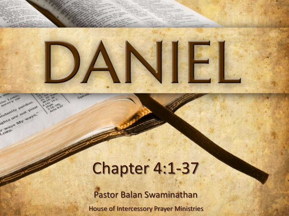

Longi mercy on

indurate pardon indiantly pardon

Louis's My ways."

## Chapter 4:1-37

House of Intercessory Prayer Ministries Pastor Balan Swaminathan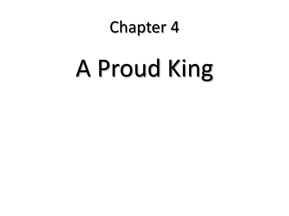#### Chapter 4

# A Proud King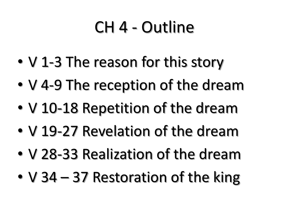#### CH 4 - Outline

- V 1-3 The reason for this story
- V 4-9 The reception of the dream
- V 10-18 Repetition of the dream
- V 19-27 Revelation of the dream
- V 28-33 Realization of the dream
- V 34 37 Restoration of the king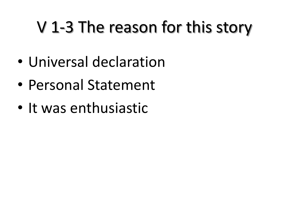### V 1-3 The reason for this story

- Universal declaration
- Personal Statement
- It was enthusiastic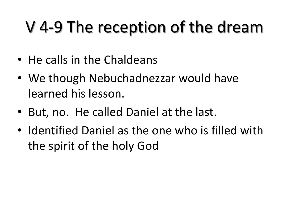#### V 4-9 The reception of the dream

- He calls in the Chaldeans
- We though Nebuchadnezzar would have learned his lesson.
- But, no. He called Daniel at the last.
- Identified Daniel as the one who is filled with the spirit of the holy God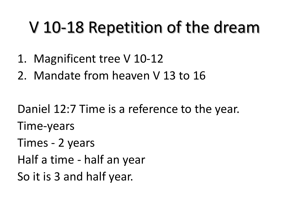#### V 10-18 Repetition of the dream

- 1. Magnificent tree V 10-12
- 2. Mandate from heaven V 13 to 16

Daniel 12:7 Time is a reference to the year. Time-years Times - 2 years Half a time - half an year So it is 3 and half year.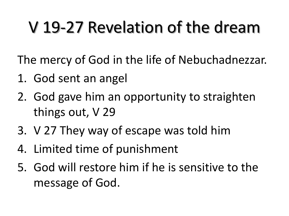### V 19-27 Revelation of the dream

The mercy of God in the life of Nebuchadnezzar.

- 1. God sent an angel
- 2. God gave him an opportunity to straighten things out, V 29
- 3. V 27 They way of escape was told him
- 4. Limited time of punishment
- 5. God will restore him if he is sensitive to the message of God.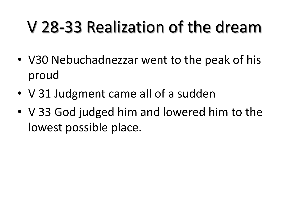#### V 28-33 Realization of the dream

- V30 Nebuchadnezzar went to the peak of his proud
- V 31 Judgment came all of a sudden
- V 33 God judged him and lowered him to the lowest possible place.